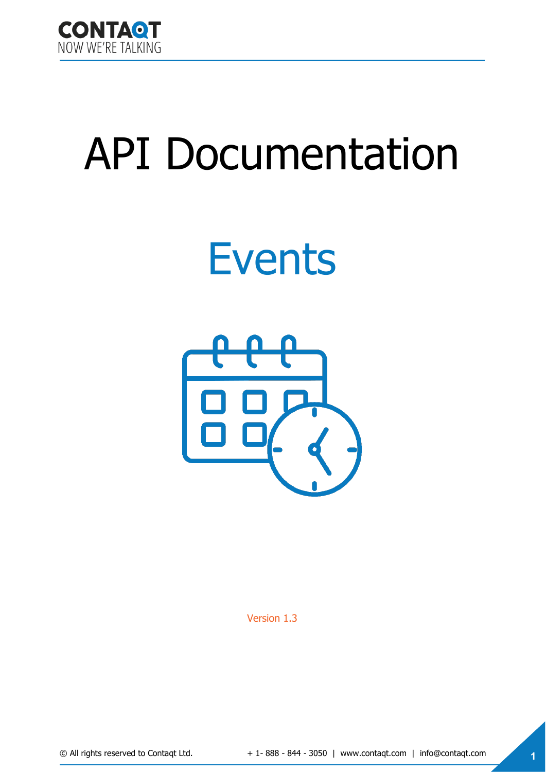

# API Documentation

## Events



Version 1.3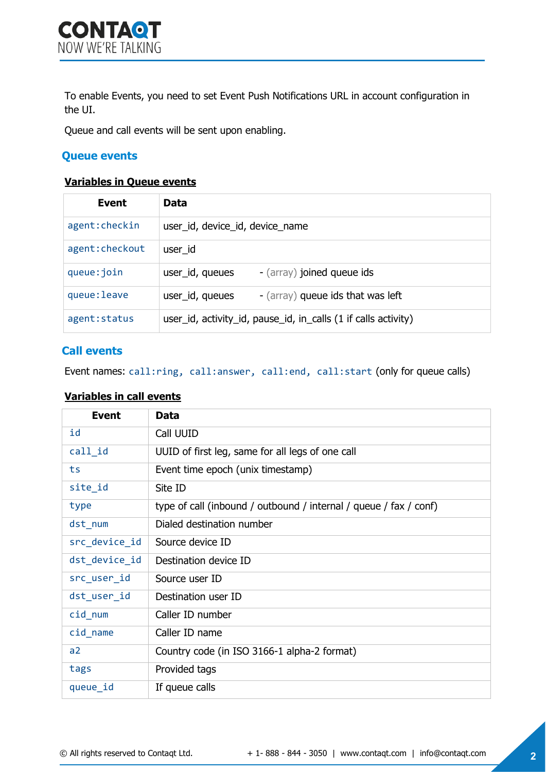To enable Events, you need to set Event Push Notifications URL in account configuration in the UI.

Queue and call events will be sent upon enabling.

## **Queue events**

## **Variables in Queue events**

| Event           | Data                                                           |
|-----------------|----------------------------------------------------------------|
| agent: checkin  | user_id, device_id, device_name                                |
| agent: checkout | user id                                                        |
| queue: join     | - (array) joined queue ids<br>user_id, queues                  |
| queue: leave    | user_id, queues<br>- (array) queue ids that was left           |
| agent: status   | user_id, activity_id, pause_id, in_calls (1 if calls activity) |

### **Call events**

Event names: call:ring, call:answer, call:end, call:start (only for queue calls)

#### **Variables in call events**

| <b>Event</b>   | Data                                                              |
|----------------|-------------------------------------------------------------------|
| id             | Call UUID                                                         |
| call id        | UUID of first leg, same for all legs of one call                  |
| ts             | Event time epoch (unix timestamp)                                 |
| site_id        | Site ID                                                           |
| type           | type of call (inbound / outbound / internal / queue / fax / conf) |
| dst_num        | Dialed destination number                                         |
| src_device_id  | Source device ID                                                  |
| dst_device_id  | Destination device ID                                             |
| src_user_id    | Source user ID                                                    |
| dst_user_id    | Destination user ID                                               |
| cid num        | Caller ID number                                                  |
| cid_name       | Caller ID name                                                    |
| a <sub>2</sub> | Country code (in ISO 3166-1 alpha-2 format)                       |
| tags           | Provided tags                                                     |
| queue_id       | If queue calls                                                    |